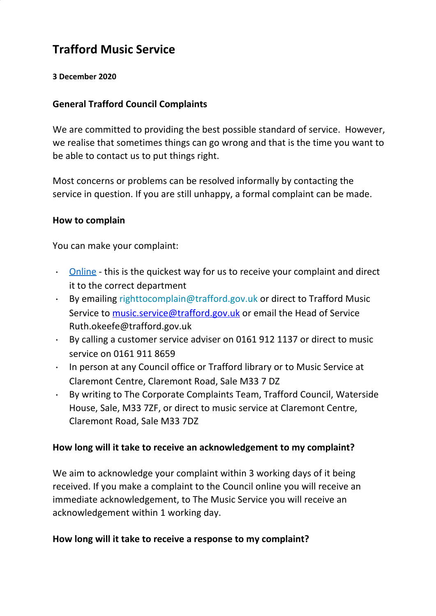# **Trafford Music Service**

#### **3 December 2020**

#### **General Trafford Council Complaints**

We are committed to providing the best possible standard of service. However, we realise that sometimes things can go wrong and that is the time you want to be able to contact us to put things right.

Most concerns or problems can be resolved informally by contacting the service in question. If you are still unhappy, a formal complaint can be made.

#### **How to complain**

You can make your complaint:

- ∙ [Online](http://www.trafford.gov.uk/about-your-council/complaints/secure/complaints-form.aspx) this is the quickest way for us to receive your complaint and direct it to the correct department
- ∙ By emailing [righttocomplain@trafford.gov.uk](mailto:righttocomplain@trafford.gov.uk) or direct to Trafford Music Service to [music.service@trafford.gov.uk](mailto:music.service@trafford.gov.uk) or email the Head of Service Ruth.okeefe@trafford.gov.uk
- ∙ By calling a customer service adviser on 0161 912 1137 or direct to music service on 0161 911 8659
- ∙ In person at any Council office or Trafford library or to Music Service at Claremont Centre, Claremont Road, Sale M33 7 DZ
- ∙ By writing to The Corporate Complaints Team, Trafford Council, Waterside House, Sale, M33 7ZF, or direct to music service at Claremont Centre, Claremont Road, Sale M33 7DZ

#### **How long will it take to receive an acknowledgement to my complaint?**

We aim to acknowledge your complaint within 3 working days of it being received. If you make a complaint to the Council online you will receive an immediate acknowledgement, to The Music Service you will receive an acknowledgement within 1 working day.

#### **How long will it take to receive a response to my complaint?**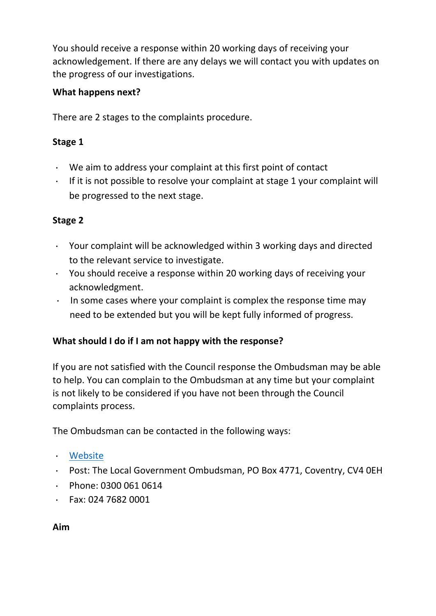You should receive a response within 20 working days of receiving your acknowledgement. If there are any delays we will contact you with updates on the progress of our investigations.

## **What happens next?**

There are 2 stages to the complaints procedure.

## **Stage 1**

- ∙ We aim to address your complaint at this first point of contact
- ∙ If it is not possible to resolve your complaint at stage 1 your complaint will be progressed to the next stage.

## **Stage 2**

- ∙ Your complaint will be acknowledged within 3 working days and directed to the relevant service to investigate.
- ∙ You should receive a response within 20 working days of receiving your acknowledgment.
- ∙ In some cases where your complaint is complex the response time may need to be extended but you will be kept fully informed of progress.

## **What should I do if I am not happy with the response?**

If you are not satisfied with the Council response the Ombudsman may be able to help. You can complain to the Ombudsman at any time but your complaint is not likely to be considered if you have not been through the Council complaints process.

The Ombudsman can be contacted in the following ways:

- ∙ [Website](http://www.lgo.org.uk/)
- ∙ Post: The Local Government Ombudsman, PO Box 4771, Coventry, CV4 0EH
- ∙ Phone: 0300 061 0614
- ∙ Fax: 024 7682 0001

#### **Aim**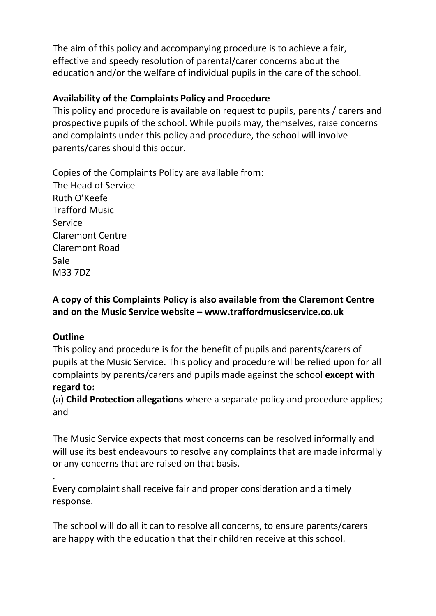The aim of this policy and accompanying procedure is to achieve a fair, effective and speedy resolution of parental/carer concerns about the education and/or the welfare of individual pupils in the care of the school.

# **Availability of the Complaints Policy and Procedure**

This policy and procedure is available on request to pupils, parents / carers and prospective pupils of the school. While pupils may, themselves, raise concerns and complaints under this policy and procedure, the school will involve parents/cares should this occur.

Copies of the Complaints Policy are available from: The Head of Service Ruth O'Keefe Trafford Music Service Claremont Centre Claremont Road Sale M33 7DZ

# **A copy of this Complaints Policy is also available from the Claremont Centre and on the Music Service website – www.traffordmusicservice.co.uk**

## **Outline**

This policy and procedure is for the benefit of pupils and parents/carers of pupils at the Music Service. This policy and procedure will be relied upon for all complaints by parents/carers and pupils made against the school **except with regard to:**

(a) **Child Protection allegations** where a separate policy and procedure applies; and

The Music Service expects that most concerns can be resolved informally and will use its best endeavours to resolve any complaints that are made informally or any concerns that are raised on that basis.

. Every complaint shall receive fair and proper consideration and a timely response.

The school will do all it can to resolve all concerns, to ensure parents/carers are happy with the education that their children receive at this school.